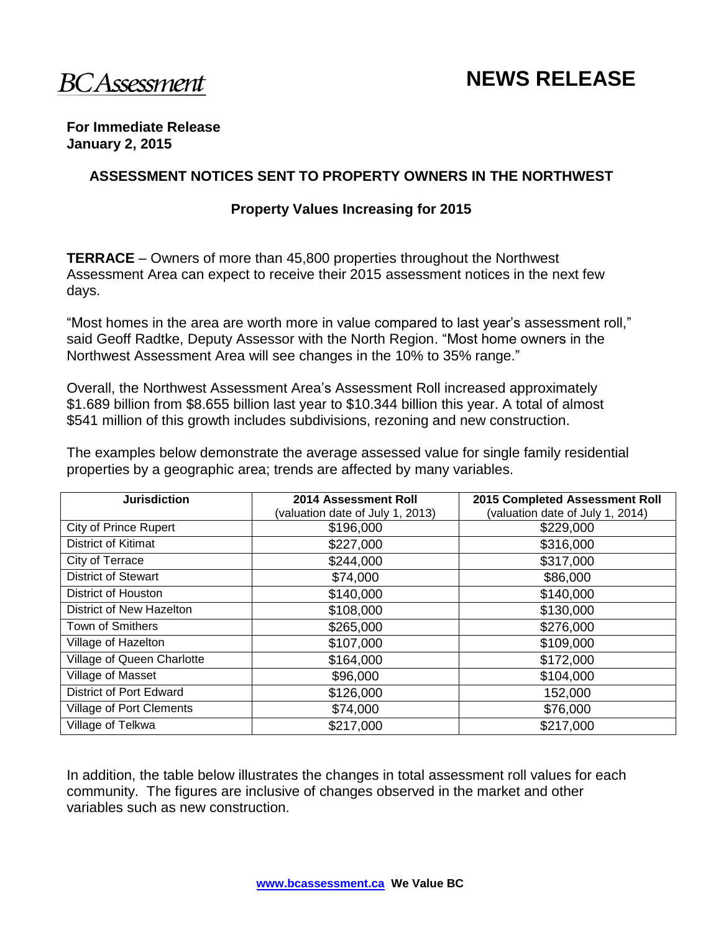

# **NEWS RELEASE**

#### **For Immediate Release January 2, 2015**

## **ASSESSMENT NOTICES SENT TO PROPERTY OWNERS IN THE NORTHWEST**

#### **Property Values Increasing for 2015**

**TERRACE** – Owners of more than 45,800 properties throughout the Northwest Assessment Area can expect to receive their 2015 assessment notices in the next few days.

"Most homes in the area are worth more in value compared to last year's assessment roll," said Geoff Radtke, Deputy Assessor with the North Region. "Most home owners in the Northwest Assessment Area will see changes in the 10% to 35% range."

Overall, the Northwest Assessment Area's Assessment Roll increased approximately \$1.689 billion from \$8.655 billion last year to \$10.344 billion this year. A total of almost \$541 million of this growth includes subdivisions, rezoning and new construction.

The examples below demonstrate the average assessed value for single family residential properties by a geographic area; trends are affected by many variables.

| <b>Jurisdiction</b>             | 2014 Assessment Roll            | 2015 Completed Assessment Roll   |  |
|---------------------------------|---------------------------------|----------------------------------|--|
|                                 | valuation date of July 1, 2013) | (valuation date of July 1, 2014) |  |
| <b>City of Prince Rupert</b>    | \$196,000                       | \$229,000                        |  |
| District of Kitimat             | \$227,000                       | \$316,000                        |  |
| City of Terrace                 | \$244,000                       | \$317,000                        |  |
| <b>District of Stewart</b>      | \$74,000                        | \$86,000                         |  |
| District of Houston             | \$140,000                       | \$140,000                        |  |
| District of New Hazelton        | \$108,000                       | \$130,000                        |  |
| Town of Smithers                | \$265,000                       | \$276,000                        |  |
| Village of Hazelton             | \$107,000                       | \$109,000                        |  |
| Village of Queen Charlotte      | \$164,000                       | \$172,000                        |  |
| Village of Masset               | \$96,000                        | \$104,000                        |  |
| <b>District of Port Edward</b>  | \$126,000                       | 152,000                          |  |
| <b>Village of Port Clements</b> | \$74,000                        | \$76,000                         |  |
| Village of Telkwa               | \$217,000                       | \$217,000                        |  |

In addition, the table below illustrates the changes in total assessment roll values for each community. The figures are inclusive of changes observed in the market and other variables such as new construction.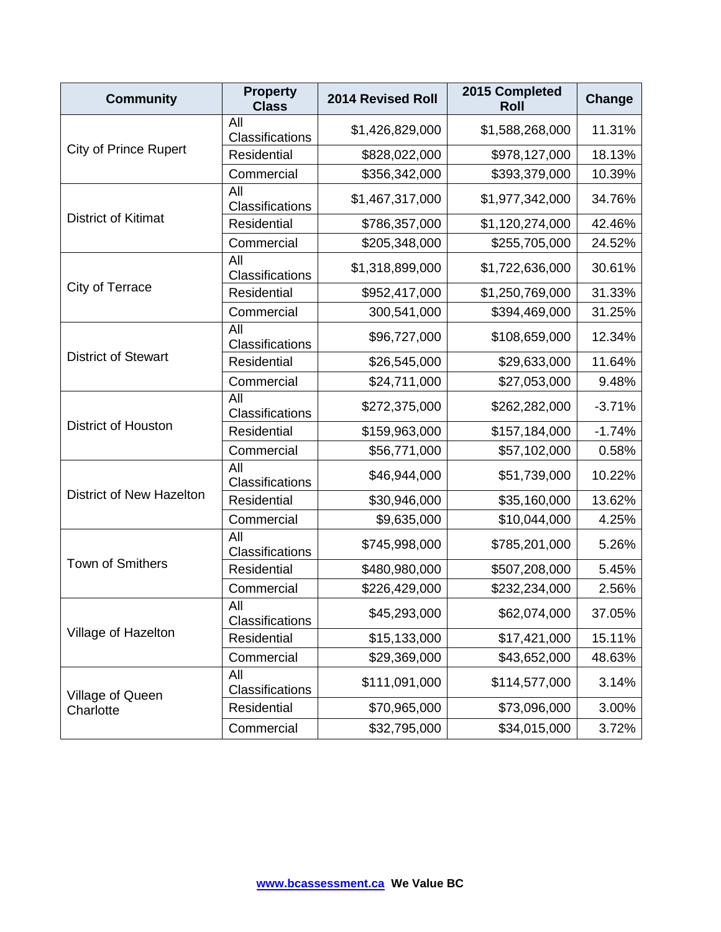| <b>Community</b>              | <b>Property</b><br><b>Class</b> | <b>2014 Revised Roll</b> | 2015 Completed<br><b>Roll</b> | Change   |
|-------------------------------|---------------------------------|--------------------------|-------------------------------|----------|
| <b>City of Prince Rupert</b>  | All<br>Classifications          | \$1,426,829,000          | \$1,588,268,000               | 11.31%   |
|                               | <b>Residential</b>              | \$828,022,000            | \$978,127,000                 | 18.13%   |
|                               | Commercial                      | \$356,342,000            | \$393,379,000                 | 10.39%   |
| District of Kitimat           | All<br>Classifications          | \$1,467,317,000          | \$1,977,342,000               | 34.76%   |
|                               | Residential                     | \$786,357,000            | \$1,120,274,000               | 42.46%   |
|                               | Commercial                      | \$205,348,000            | \$255,705,000                 | 24.52%   |
| City of Terrace               | All<br>Classifications          | \$1,318,899,000          | \$1,722,636,000               | 30.61%   |
|                               | Residential                     | \$952,417,000            | \$1,250,769,000               | 31.33%   |
|                               | Commercial                      | 300,541,000              | \$394,469,000                 | 31.25%   |
|                               | All<br>Classifications          | \$96,727,000             | \$108,659,000                 | 12.34%   |
| <b>District of Stewart</b>    | Residential                     | \$26,545,000             | \$29,633,000                  | 11.64%   |
|                               | Commercial                      | \$24,711,000             | \$27,053,000                  | 9.48%    |
| <b>District of Houston</b>    | All<br>Classifications          | \$272,375,000            | \$262,282,000                 | $-3.71%$ |
|                               | Residential                     | \$159,963,000            | \$157,184,000                 | $-1.74%$ |
|                               | Commercial                      | \$56,771,000             | \$57,102,000                  | 0.58%    |
| District of New Hazelton      | All<br>Classifications          | \$46,944,000             | \$51,739,000                  | 10.22%   |
|                               | Residential                     | \$30,946,000             | \$35,160,000                  | 13.62%   |
|                               | Commercial                      | \$9,635,000              | \$10,044,000                  | 4.25%    |
| Town of Smithers              | All<br>Classifications          | \$745,998,000            | \$785,201,000                 | 5.26%    |
|                               | Residential                     | \$480,980,000            | \$507,208,000                 | 5.45%    |
|                               | Commercial                      | \$226,429,000            | \$232,234,000                 | 2.56%    |
| Village of Hazelton           | All<br>Classifications          | \$45,293,000             | \$62,074,000                  | 37.05%   |
|                               | Residential                     | \$15,133,000             | \$17,421,000                  | 15.11%   |
|                               | Commercial                      | \$29,369,000             | \$43,652,000                  | 48.63%   |
| Village of Queen<br>Charlotte | All<br>Classifications          | \$111,091,000            | \$114,577,000                 | 3.14%    |
|                               | Residential                     | \$70,965,000             | \$73,096,000                  | 3.00%    |
|                               | Commercial                      | \$32,795,000             | \$34,015,000                  | 3.72%    |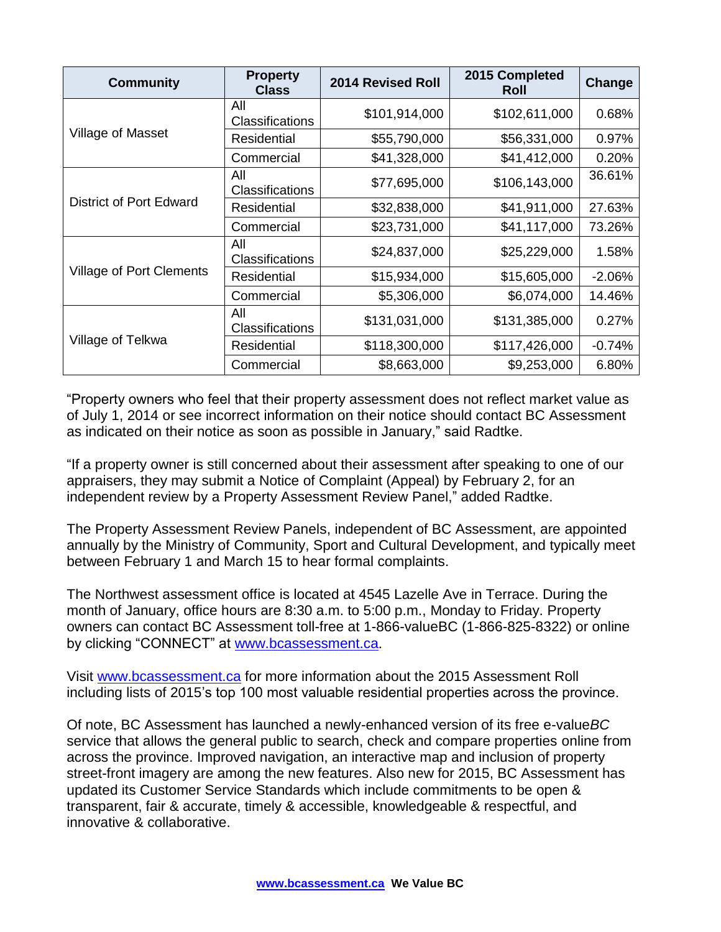| <b>Community</b>                | <b>Property</b><br><b>Class</b> | <b>2014 Revised Roll</b> | 2015 Completed<br><b>Roll</b> | Change   |
|---------------------------------|---------------------------------|--------------------------|-------------------------------|----------|
| Village of Masset               | All<br><b>Classifications</b>   | \$101,914,000            | \$102,611,000                 | 0.68%    |
|                                 | Residential                     | \$55,790,000             | \$56,331,000                  | 0.97%    |
|                                 | Commercial                      | \$41,328,000             | \$41,412,000                  | 0.20%    |
| <b>District of Port Edward</b>  | All<br><b>Classifications</b>   | \$77,695,000             | \$106,143,000                 | 36.61%   |
|                                 | <b>Residential</b>              | \$32,838,000             | \$41,911,000                  | 27.63%   |
|                                 | Commercial                      | \$23,731,000             | \$41,117,000                  | 73.26%   |
| <b>Village of Port Clements</b> | All<br><b>Classifications</b>   | \$24,837,000             | \$25,229,000                  | 1.58%    |
|                                 | <b>Residential</b>              | \$15,934,000             | \$15,605,000                  | $-2.06%$ |
|                                 | Commercial                      | \$5,306,000              | \$6,074,000                   | 14.46%   |
| Village of Telkwa               | All<br><b>Classifications</b>   | \$131,031,000            | \$131,385,000                 | 0.27%    |
|                                 | <b>Residential</b>              | \$118,300,000            | \$117,426,000                 | $-0.74%$ |
|                                 | Commercial                      | \$8,663,000              | \$9,253,000                   | 6.80%    |

"Property owners who feel that their property assessment does not reflect market value as of July 1, 2014 or see incorrect information on their notice should contact BC Assessment as indicated on their notice as soon as possible in January," said Radtke.

"If a property owner is still concerned about their assessment after speaking to one of our appraisers, they may submit a Notice of Complaint (Appeal) by February 2, for an independent review by a Property Assessment Review Panel," added Radtke.

The Property Assessment Review Panels, independent of BC Assessment, are appointed annually by the Ministry of Community, Sport and Cultural Development, and typically meet between February 1 and March 15 to hear formal complaints.

The Northwest assessment office is located at 4545 Lazelle Ave in Terrace. During the month of January, office hours are 8:30 a.m. to 5:00 p.m., Monday to Friday. Property owners can contact BC Assessment toll-free at 1-866-valueBC (1-866-825-8322) or online by clicking "CONNECT" at [www.bcassessment.ca](http://www.bcassessment.ca/).

Visit [www.bcassessment.ca](http://www.bcassessment.ca/) for more information about the 2015 Assessment Roll including lists of 2015's top 100 most valuable residential properties across the province.

Of note, BC Assessment has launched a newly-enhanced version of its free e-value*BC*  service that allows the general public to search, check and compare properties online from across the province. Improved navigation, an interactive map and inclusion of property street-front imagery are among the new features. Also new for 2015, BC Assessment has updated its Customer Service Standards which include commitments to be open & transparent, fair & accurate, timely & accessible, knowledgeable & respectful, and innovative & collaborative.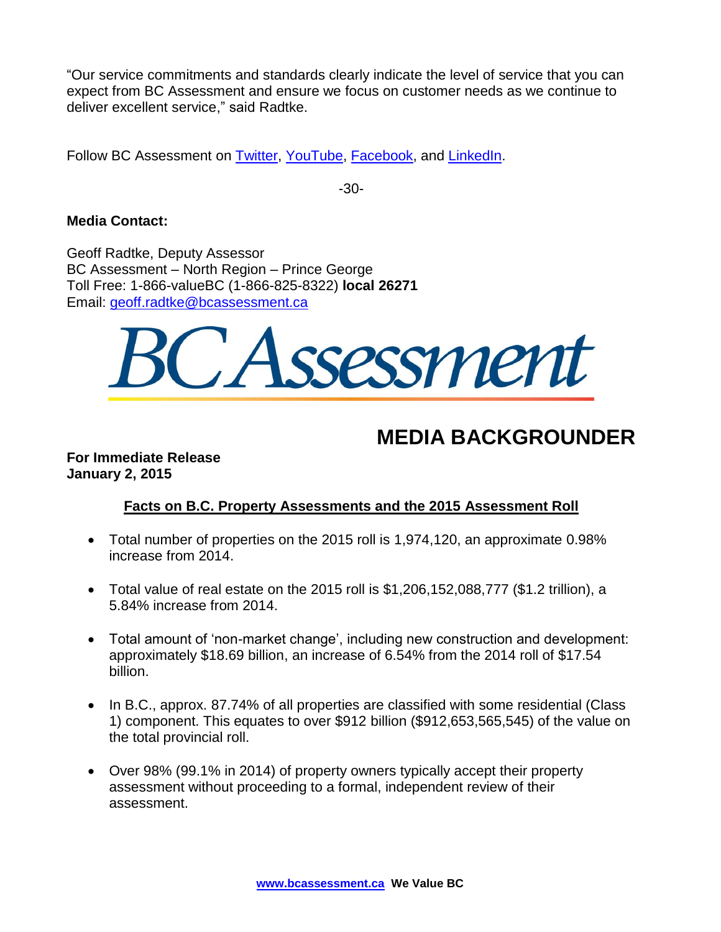"Our service commitments and standards clearly indicate the level of service that you can expect from BC Assessment and ensure we focus on customer needs as we continue to deliver excellent service," said Radtke.

Follow BC Assessment on [Twitter,](http://twitter.com/bcassessment) [YouTube,](http://www.youtube.com/user/BCAssessmentVideos) [Facebook,](http://www.facebook.com/pages/BC-Assessment/168042796561277?sk=info) and [LinkedIn.](http://www.linkedin.com/company/bc-assessment)

-30-

## **Media Contact:**

Geoff Radtke, Deputy Assessor BC Assessment – North Region – Prince George Toll Free: 1-866-valueBC (1-866-825-8322) **local 26271** Email: [geoff.radtke@bcassessment.ca](mailto:geoff.radtke@bcassessment.ca)



## **MEDIA BACKGROUNDER**

## **For Immediate Release January 2, 2015**

## **Facts on B.C. Property Assessments and the 2015 Assessment Roll**

- Total number of properties on the 2015 roll is 1,974,120, an approximate 0.98% increase from 2014.
- $\bullet$  Total value of real estate on the 2015 roll is \$1,206,152,088,777 (\$1.2 trillion), a 5.84% increase from 2014.
- Total amount of 'non-market change', including new construction and development: approximately \$18.69 billion, an increase of 6.54% from the 2014 roll of \$17.54 billion.
- In B.C., approx. 87.74% of all properties are classified with some residential (Class 1) component. This equates to over \$912 billion (\$912,653,565,545) of the value on the total provincial roll.
- Over 98% (99.1% in 2014) of property owners typically accept their property assessment without proceeding to a formal, independent review of their assessment.